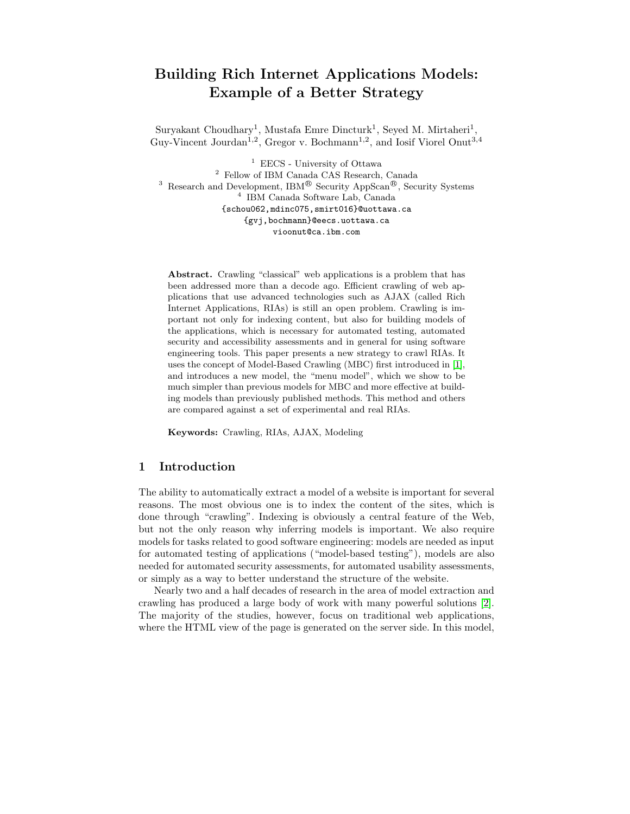# Building Rich Internet Applications Models: Example of a Better Strategy

Suryakant Choudhary<sup>1</sup>, Mustafa Emre Dincturk<sup>1</sup>, Seyed M. Mirtaheri<sup>1</sup>, Guy-Vincent Jourdan<sup>1,2</sup>, Gregor v. Bochmann<sup>1,2</sup>, and Iosif Viorel Onut<sup>3,4</sup>

<sup>1</sup> EECS - University of Ottawa <sup>2</sup> Fellow of IBM Canada CAS Research, Canada <sup>3</sup> Research and Development, IBM<sup>®</sup> Security AppScan<sup>®</sup>, Security Systems 4 IBM Canada Software Lab, Canada {schou062,mdinc075,smirt016}@uottawa.ca {gvj,bochmann}@eecs.uottawa.ca vioonut@ca.ibm.com

Abstract. Crawling "classical" web applications is a problem that has been addressed more than a decode ago. Efficient crawling of web applications that use advanced technologies such as AJAX (called Rich Internet Applications, RIAs) is still an open problem. Crawling is important not only for indexing content, but also for building models of the applications, which is necessary for automated testing, automated security and accessibility assessments and in general for using software engineering tools. This paper presents a new strategy to crawl RIAs. It uses the concept of Model-Based Crawling (MBC) first introduced in [\[1\]](#page-13-0), and introduces a new model, the "menu model", which we show to be much simpler than previous models for MBC and more effective at building models than previously published methods. This method and others are compared against a set of experimental and real RIAs.

Keywords: Crawling, RIAs, AJAX, Modeling

## 1 Introduction

The ability to automatically extract a model of a website is important for several reasons. The most obvious one is to index the content of the sites, which is done through "crawling". Indexing is obviously a central feature of the Web, but not the only reason why inferring models is important. We also require models for tasks related to good software engineering: models are needed as input for automated testing of applications ("model-based testing"), models are also needed for automated security assessments, for automated usability assessments, or simply as a way to better understand the structure of the website.

Nearly two and a half decades of research in the area of model extraction and crawling has produced a large body of work with many powerful solutions [\[2\]](#page-13-1). The majority of the studies, however, focus on traditional web applications, where the HTML view of the page is generated on the server side. In this model,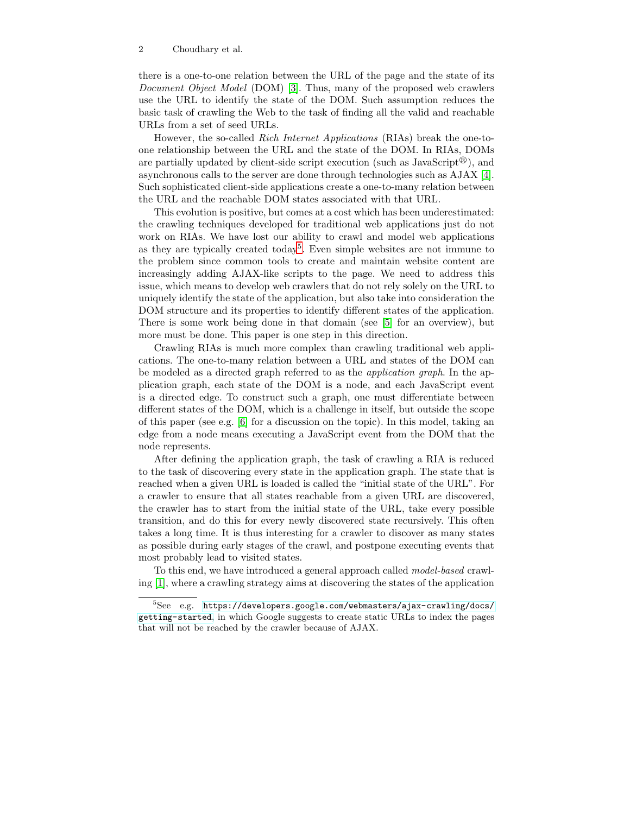there is a one-to-one relation between the URL of the page and the state of its Document Object Model (DOM) [\[3\]](#page-13-2). Thus, many of the proposed web crawlers use the URL to identify the state of the DOM. Such assumption reduces the basic task of crawling the Web to the task of finding all the valid and reachable URLs from a set of seed URLs.

However, the so-called Rich Internet Applications (RIAs) break the one-toone relationship between the URL and the state of the DOM. In RIAs, DOMs are partially updated by client-side script execution (such as JavaScript<sup>®</sup>), and asynchronous calls to the server are done through technologies such as AJAX [\[4\]](#page-13-3). Such sophisticated client-side applications create a one-to-many relation between the URL and the reachable DOM states associated with that URL.

This evolution is positive, but comes at a cost which has been underestimated: the crawling techniques developed for traditional web applications just do not work on RIAs. We have lost our ability to crawl and model web applications as they are typically created today[5](#page-1-0) . Even simple websites are not immune to the problem since common tools to create and maintain website content are increasingly adding AJAX-like scripts to the page. We need to address this issue, which means to develop web crawlers that do not rely solely on the URL to uniquely identify the state of the application, but also take into consideration the DOM structure and its properties to identify different states of the application. There is some work being done in that domain (see [\[5\]](#page-13-4) for an overview), but more must be done. This paper is one step in this direction.

Crawling RIAs is much more complex than crawling traditional web applications. The one-to-many relation between a URL and states of the DOM can be modeled as a directed graph referred to as the *application graph*. In the application graph, each state of the DOM is a node, and each JavaScript event is a directed edge. To construct such a graph, one must differentiate between different states of the DOM, which is a challenge in itself, but outside the scope of this paper (see e.g. [\[6\]](#page-13-5) for a discussion on the topic). In this model, taking an edge from a node means executing a JavaScript event from the DOM that the node represents.

After defining the application graph, the task of crawling a RIA is reduced to the task of discovering every state in the application graph. The state that is reached when a given URL is loaded is called the "initial state of the URL". For a crawler to ensure that all states reachable from a given URL are discovered, the crawler has to start from the initial state of the URL, take every possible transition, and do this for every newly discovered state recursively. This often takes a long time. It is thus interesting for a crawler to discover as many states as possible during early stages of the crawl, and postpone executing events that most probably lead to visited states.

To this end, we have introduced a general approach called model-based crawling [\[1\]](#page-13-0), where a crawling strategy aims at discovering the states of the application

<span id="page-1-0"></span> $5$ See e.g. [https://developers.google.com/webmasters/ajax-crawling/docs/](https://developers.google.com/webmasters/ajax-crawling/docs/getting-started) [getting-started](https://developers.google.com/webmasters/ajax-crawling/docs/getting-started), in which Google suggests to create static URLs to index the pages that will not be reached by the crawler because of AJAX.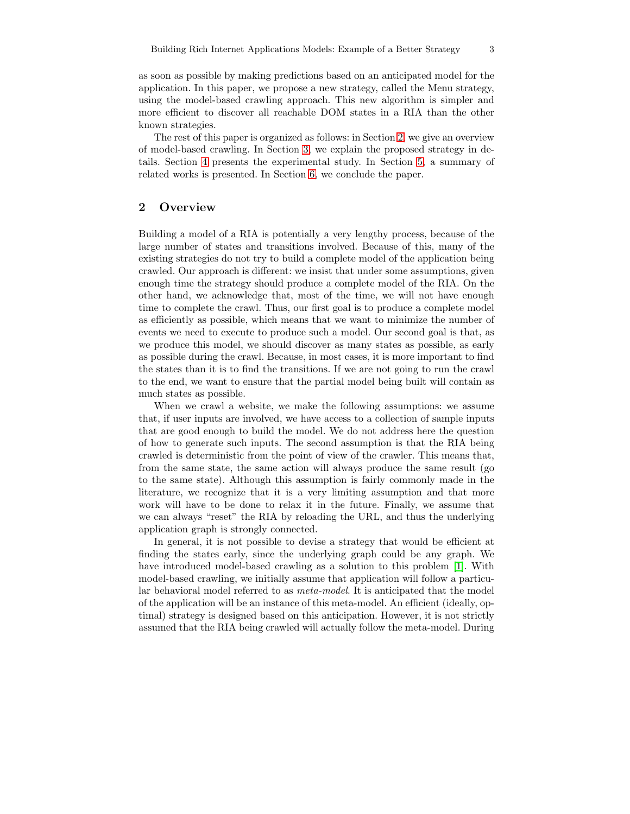as soon as possible by making predictions based on an anticipated model for the application. In this paper, we propose a new strategy, called the Menu strategy, using the model-based crawling approach. This new algorithm is simpler and more efficient to discover all reachable DOM states in a RIA than the other known strategies.

The rest of this paper is organized as follows: in Section [2,](#page-2-0) we give an overview of model-based crawling. In Section [3,](#page-3-0) we explain the proposed strategy in details. Section [4](#page-8-0) presents the experimental study. In Section [5,](#page-11-0) a summary of related works is presented. In Section [6,](#page-12-0) we conclude the paper.

## <span id="page-2-0"></span>2 Overview

Building a model of a RIA is potentially a very lengthy process, because of the large number of states and transitions involved. Because of this, many of the existing strategies do not try to build a complete model of the application being crawled. Our approach is different: we insist that under some assumptions, given enough time the strategy should produce a complete model of the RIA. On the other hand, we acknowledge that, most of the time, we will not have enough time to complete the crawl. Thus, our first goal is to produce a complete model as efficiently as possible, which means that we want to minimize the number of events we need to execute to produce such a model. Our second goal is that, as we produce this model, we should discover as many states as possible, as early as possible during the crawl. Because, in most cases, it is more important to find the states than it is to find the transitions. If we are not going to run the crawl to the end, we want to ensure that the partial model being built will contain as much states as possible.

When we crawl a website, we make the following assumptions: we assume that, if user inputs are involved, we have access to a collection of sample inputs that are good enough to build the model. We do not address here the question of how to generate such inputs. The second assumption is that the RIA being crawled is deterministic from the point of view of the crawler. This means that, from the same state, the same action will always produce the same result (go to the same state). Although this assumption is fairly commonly made in the literature, we recognize that it is a very limiting assumption and that more work will have to be done to relax it in the future. Finally, we assume that we can always "reset" the RIA by reloading the URL, and thus the underlying application graph is strongly connected.

In general, it is not possible to devise a strategy that would be efficient at finding the states early, since the underlying graph could be any graph. We have introduced model-based crawling as a solution to this problem [\[1\]](#page-13-0). With model-based crawling, we initially assume that application will follow a particular behavioral model referred to as meta-model. It is anticipated that the model of the application will be an instance of this meta-model. An efficient (ideally, optimal) strategy is designed based on this anticipation. However, it is not strictly assumed that the RIA being crawled will actually follow the meta-model. During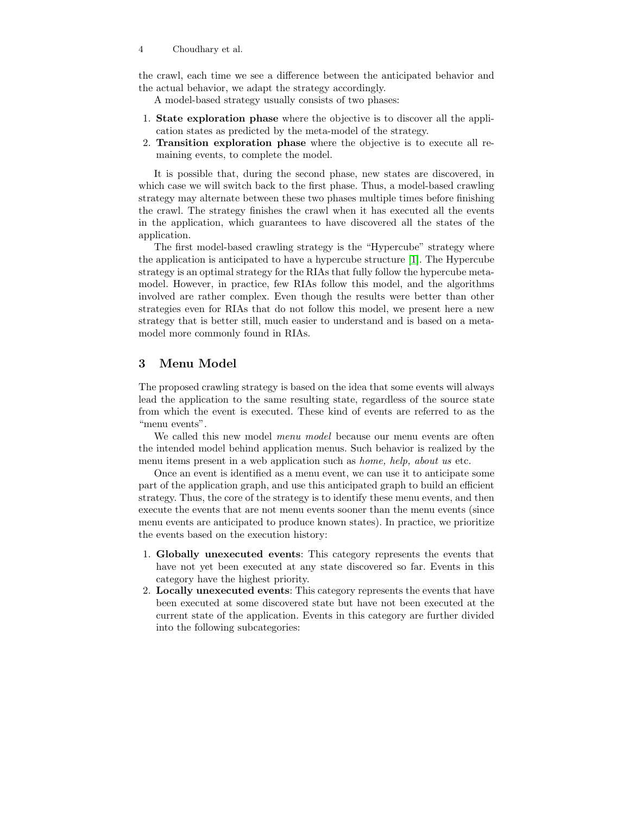#### 4 Choudhary et al.

the crawl, each time we see a difference between the anticipated behavior and the actual behavior, we adapt the strategy accordingly.

A model-based strategy usually consists of two phases:

- 1. State exploration phase where the objective is to discover all the application states as predicted by the meta-model of the strategy.
- 2. Transition exploration phase where the objective is to execute all remaining events, to complete the model.

It is possible that, during the second phase, new states are discovered, in which case we will switch back to the first phase. Thus, a model-based crawling strategy may alternate between these two phases multiple times before finishing the crawl. The strategy finishes the crawl when it has executed all the events in the application, which guarantees to have discovered all the states of the application.

The first model-based crawling strategy is the "Hypercube" strategy where the application is anticipated to have a hypercube structure [\[1\]](#page-13-0). The Hypercube strategy is an optimal strategy for the RIAs that fully follow the hypercube metamodel. However, in practice, few RIAs follow this model, and the algorithms involved are rather complex. Even though the results were better than other strategies even for RIAs that do not follow this model, we present here a new strategy that is better still, much easier to understand and is based on a metamodel more commonly found in RIAs.

## <span id="page-3-0"></span>3 Menu Model

The proposed crawling strategy is based on the idea that some events will always lead the application to the same resulting state, regardless of the source state from which the event is executed. These kind of events are referred to as the "menu events".

We called this new model *menu model* because our menu events are often the intended model behind application menus. Such behavior is realized by the menu items present in a web application such as home, help, about us etc.

Once an event is identified as a menu event, we can use it to anticipate some part of the application graph, and use this anticipated graph to build an efficient strategy. Thus, the core of the strategy is to identify these menu events, and then execute the events that are not menu events sooner than the menu events (since menu events are anticipated to produce known states). In practice, we prioritize the events based on the execution history:

- 1. Globally unexecuted events: This category represents the events that have not yet been executed at any state discovered so far. Events in this category have the highest priority.
- 2. Locally unexecuted events: This category represents the events that have been executed at some discovered state but have not been executed at the current state of the application. Events in this category are further divided into the following subcategories: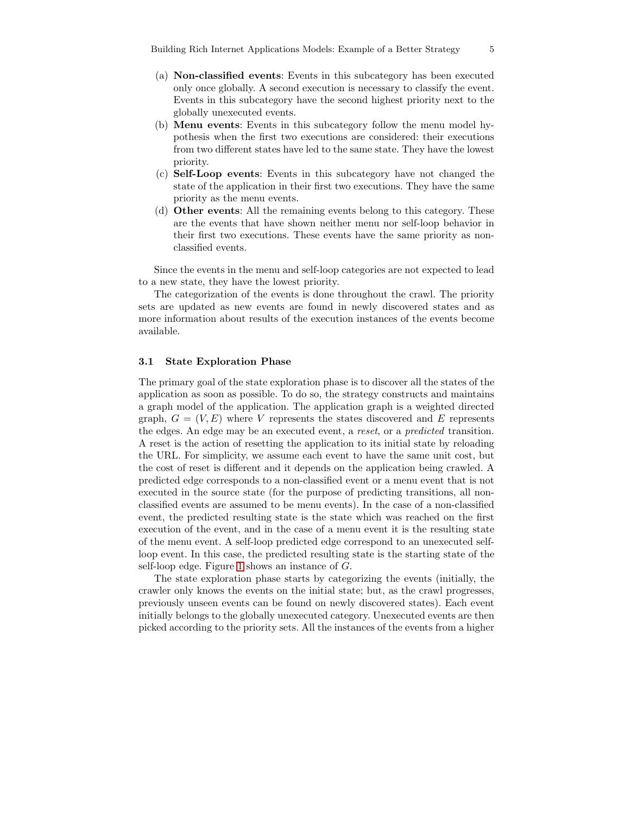- (a) Non-classified events: Events in this subcategory has been executed only once globally. A second execution is necessary to classify the event. Events in this subcategory have the second highest priority next to the globally unexecuted events.
- (b) Menu events: Events in this subcategory follow the menu model hypothesis when the first two executions are considered: their executions from two different states have led to the same state. They have the lowest priority.
- (c) Self-Loop events: Events in this subcategory have not changed the state of the application in their first two executions. They have the same priority as the menu events.
- (d) Other events: All the remaining events belong to this category. These are the events that have shown neither menu nor self-loop behavior in their first two executions. These events have the same priority as nonclassified events.

Since the events in the menu and self-loop categories are not expected to lead to a new state, they have the lowest priority.

The categorization of the events is done throughout the crawl. The priority sets are updated as new events are found in newly discovered states and as more information about results of the execution instances of the events become available.

#### 3.1 State Exploration Phase

The primary goal of the state exploration phase is to discover all the states of the application as soon as possible. To do so, the strategy constructs and maintains a graph model of the application. The application graph is a weighted directed graph,  $G = (V, E)$  where V represents the states discovered and E represents the edges. An edge may be an executed event, a reset, or a predicted transition. A reset is the action of resetting the application to its initial state by reloading the URL. For simplicity, we assume each event to have the same unit cost, but the cost of reset is different and it depends on the application being crawled. A predicted edge corresponds to a non-classified event or a menu event that is not executed in the source state (for the purpose of predicting transitions, all nonclassified events are assumed to be menu events). In the case of a non-classified event, the predicted resulting state is the state which was reached on the first execution of the event, and in the case of a menu event it is the resulting state of the menu event. A self-loop predicted edge correspond to an unexecuted selfloop event. In this case, the predicted resulting state is the starting state of the self-loop edge. Figure [1](#page-5-0) shows an instance of G.

The state exploration phase starts by categorizing the events (initially, the crawler only knows the events on the initial state; but, as the crawl progresses, previously unseen events can be found on newly discovered states). Each event initially belongs to the globally unexecuted category. Unexecuted events are then picked according to the priority sets. All the instances of the events from a higher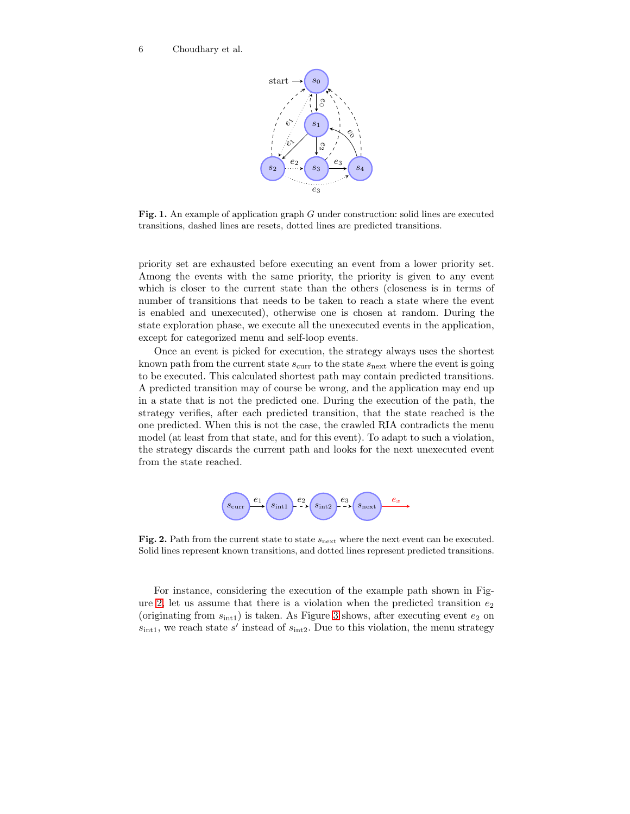#### 6 Choudhary et al.



<span id="page-5-0"></span>Fig. 1. An example of application graph G under construction: solid lines are executed transitions, dashed lines are resets, dotted lines are predicted transitions.

priority set are exhausted before executing an event from a lower priority set. Among the events with the same priority, the priority is given to any event which is closer to the current state than the others (closeness is in terms of number of transitions that needs to be taken to reach a state where the event is enabled and unexecuted), otherwise one is chosen at random. During the state exploration phase, we execute all the unexecuted events in the application, except for categorized menu and self-loop events.

Once an event is picked for execution, the strategy always uses the shortest known path from the current state  $s_{\text{curr}}$  to the state  $s_{\text{next}}$  where the event is going to be executed. This calculated shortest path may contain predicted transitions. A predicted transition may of course be wrong, and the application may end up in a state that is not the predicted one. During the execution of the path, the strategy verifies, after each predicted transition, that the state reached is the one predicted. When this is not the case, the crawled RIA contradicts the menu model (at least from that state, and for this event). To adapt to such a violation, the strategy discards the current path and looks for the next unexecuted event from the state reached.



<span id="page-5-1"></span>Fig. 2. Path from the current state to state  $s_{\text{next}}$  where the next event can be executed. Solid lines represent known transitions, and dotted lines represent predicted transitions.

For instance, considering the execution of the example path shown in Fig-ure [2,](#page-5-1) let us assume that there is a violation when the predicted transition  $e_2$ (originating from  $s_{\text{int1}}$ ) is taken. As Figure [3](#page-6-0) shows, after executing event  $e_2$  on  $s_{\text{int1}}$ , we reach state s' instead of  $s_{\text{int2}}$ . Due to this violation, the menu strategy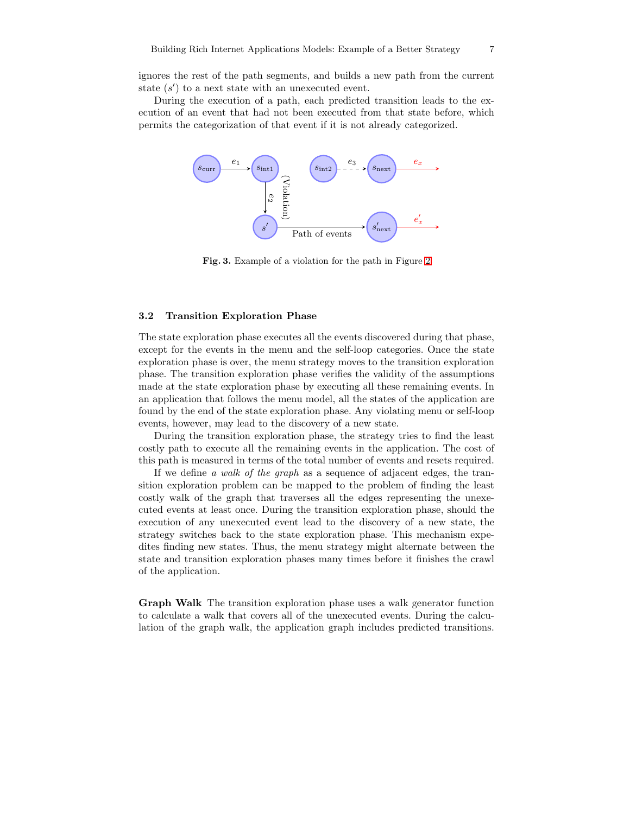ignores the rest of the path segments, and builds a new path from the current state  $(s')$  to a next state with an unexecuted event.

During the execution of a path, each predicted transition leads to the execution of an event that had not been executed from that state before, which permits the categorization of that event if it is not already categorized.



<span id="page-6-0"></span>Fig. 3. Example of a violation for the path in Figure [2](#page-5-1)

#### 3.2 Transition Exploration Phase

The state exploration phase executes all the events discovered during that phase, except for the events in the menu and the self-loop categories. Once the state exploration phase is over, the menu strategy moves to the transition exploration phase. The transition exploration phase verifies the validity of the assumptions made at the state exploration phase by executing all these remaining events. In an application that follows the menu model, all the states of the application are found by the end of the state exploration phase. Any violating menu or self-loop events, however, may lead to the discovery of a new state.

During the transition exploration phase, the strategy tries to find the least costly path to execute all the remaining events in the application. The cost of this path is measured in terms of the total number of events and resets required.

If we define a walk of the graph as a sequence of adjacent edges, the transition exploration problem can be mapped to the problem of finding the least costly walk of the graph that traverses all the edges representing the unexecuted events at least once. During the transition exploration phase, should the execution of any unexecuted event lead to the discovery of a new state, the strategy switches back to the state exploration phase. This mechanism expedites finding new states. Thus, the menu strategy might alternate between the state and transition exploration phases many times before it finishes the crawl of the application.

Graph Walk The transition exploration phase uses a walk generator function to calculate a walk that covers all of the unexecuted events. During the calculation of the graph walk, the application graph includes predicted transitions.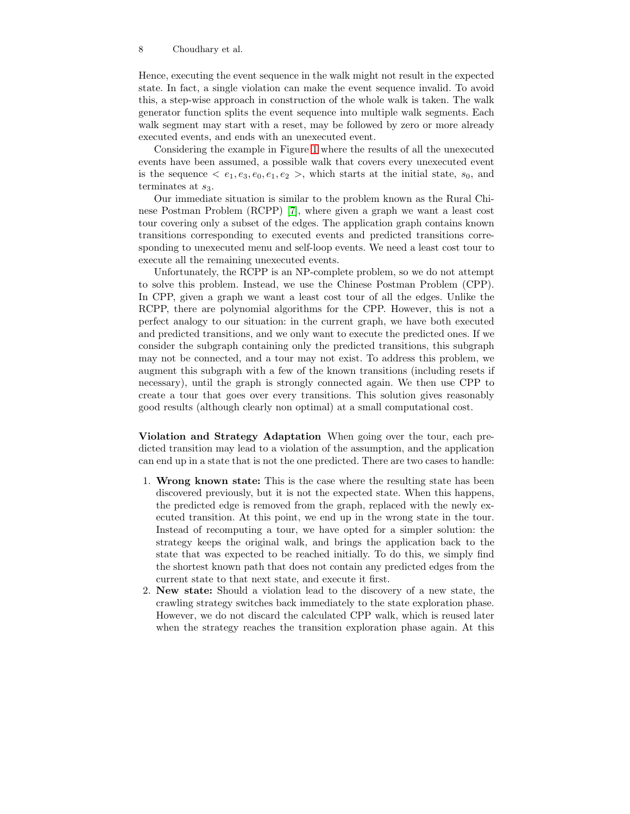Hence, executing the event sequence in the walk might not result in the expected state. In fact, a single violation can make the event sequence invalid. To avoid this, a step-wise approach in construction of the whole walk is taken. The walk generator function splits the event sequence into multiple walk segments. Each walk segment may start with a reset, may be followed by zero or more already executed events, and ends with an unexecuted event.

Considering the example in Figure [1](#page-5-0) where the results of all the unexecuted events have been assumed, a possible walk that covers every unexecuted event is the sequence  $\langle e_1, e_3, e_0, e_1, e_2 \rangle$ , which starts at the initial state,  $s_0$ , and terminates at  $s_3$ .

Our immediate situation is similar to the problem known as the Rural Chinese Postman Problem (RCPP) [\[7\]](#page-13-6), where given a graph we want a least cost tour covering only a subset of the edges. The application graph contains known transitions corresponding to executed events and predicted transitions corresponding to unexecuted menu and self-loop events. We need a least cost tour to execute all the remaining unexecuted events.

Unfortunately, the RCPP is an NP-complete problem, so we do not attempt to solve this problem. Instead, we use the Chinese Postman Problem (CPP). In CPP, given a graph we want a least cost tour of all the edges. Unlike the RCPP, there are polynomial algorithms for the CPP. However, this is not a perfect analogy to our situation: in the current graph, we have both executed and predicted transitions, and we only want to execute the predicted ones. If we consider the subgraph containing only the predicted transitions, this subgraph may not be connected, and a tour may not exist. To address this problem, we augment this subgraph with a few of the known transitions (including resets if necessary), until the graph is strongly connected again. We then use CPP to create a tour that goes over every transitions. This solution gives reasonably good results (although clearly non optimal) at a small computational cost.

Violation and Strategy Adaptation When going over the tour, each predicted transition may lead to a violation of the assumption, and the application can end up in a state that is not the one predicted. There are two cases to handle:

- 1. Wrong known state: This is the case where the resulting state has been discovered previously, but it is not the expected state. When this happens, the predicted edge is removed from the graph, replaced with the newly executed transition. At this point, we end up in the wrong state in the tour. Instead of recomputing a tour, we have opted for a simpler solution: the strategy keeps the original walk, and brings the application back to the state that was expected to be reached initially. To do this, we simply find the shortest known path that does not contain any predicted edges from the current state to that next state, and execute it first.
- 2. New state: Should a violation lead to the discovery of a new state, the crawling strategy switches back immediately to the state exploration phase. However, we do not discard the calculated CPP walk, which is reused later when the strategy reaches the transition exploration phase again. At this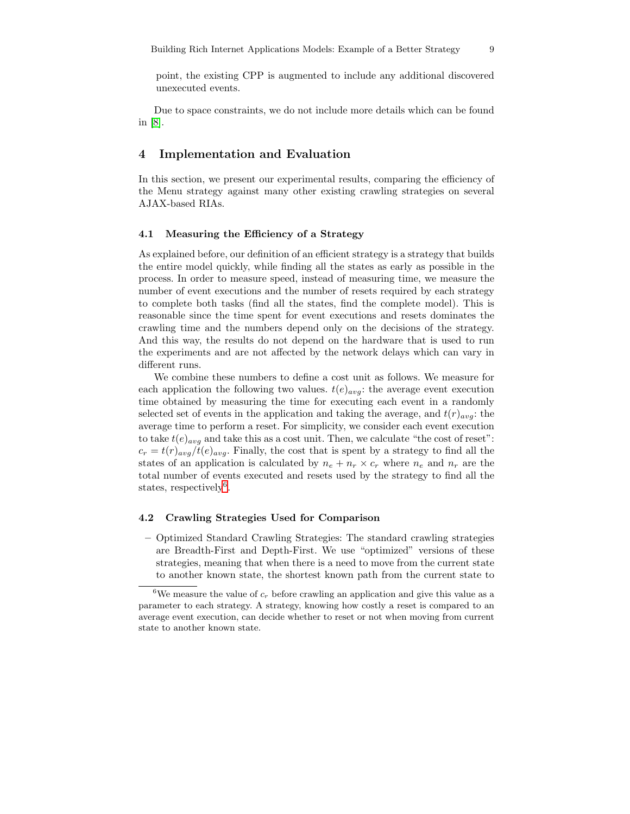point, the existing CPP is augmented to include any additional discovered unexecuted events.

Due to space constraints, we do not include more details which can be found in [\[8\]](#page-13-7).

## <span id="page-8-0"></span>4 Implementation and Evaluation

In this section, we present our experimental results, comparing the efficiency of the Menu strategy against many other existing crawling strategies on several AJAX-based RIAs.

#### 4.1 Measuring the Efficiency of a Strategy

As explained before, our definition of an efficient strategy is a strategy that builds the entire model quickly, while finding all the states as early as possible in the process. In order to measure speed, instead of measuring time, we measure the number of event executions and the number of resets required by each strategy to complete both tasks (find all the states, find the complete model). This is reasonable since the time spent for event executions and resets dominates the crawling time and the numbers depend only on the decisions of the strategy. And this way, the results do not depend on the hardware that is used to run the experiments and are not affected by the network delays which can vary in different runs.

We combine these numbers to define a cost unit as follows. We measure for each application the following two values.  $t(e)_{avg}$ : the average event execution time obtained by measuring the time for executing each event in a randomly selected set of events in the application and taking the average, and  $t(r)_{avg}$ : the average time to perform a reset. For simplicity, we consider each event execution to take  $t(e)_{avg}$  and take this as a cost unit. Then, we calculate "the cost of reset":  $c_r = t(r)_{avg}/t(e)_{avg}$ . Finally, the cost that is spent by a strategy to find all the states of an application is calculated by  $n_e + n_r \times c_r$  where  $n_e$  and  $n_r$  are the total number of events executed and resets used by the strategy to find all the states, respectively<sup>[6](#page-8-1)</sup>.

#### 4.2 Crawling Strategies Used for Comparison

– Optimized Standard Crawling Strategies: The standard crawling strategies are Breadth-First and Depth-First. We use "optimized" versions of these strategies, meaning that when there is a need to move from the current state to another known state, the shortest known path from the current state to

<span id="page-8-1"></span><sup>&</sup>lt;sup>6</sup>We measure the value of  $c_r$  before crawling an application and give this value as a parameter to each strategy. A strategy, knowing how costly a reset is compared to an average event execution, can decide whether to reset or not when moving from current state to another known state.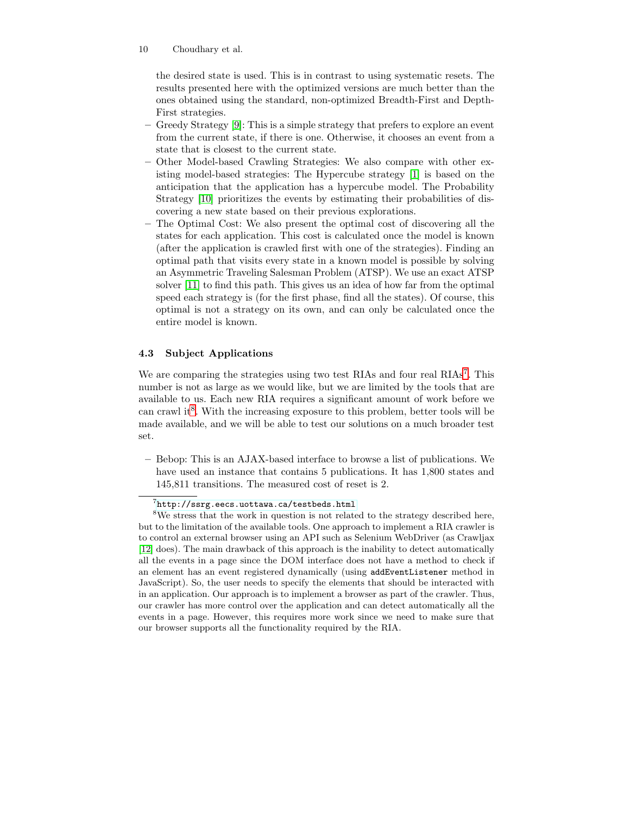the desired state is used. This is in contrast to using systematic resets. The results presented here with the optimized versions are much better than the ones obtained using the standard, non-optimized Breadth-First and Depth-First strategies.

- Greedy Strategy [\[9\]](#page-13-8): This is a simple strategy that prefers to explore an event from the current state, if there is one. Otherwise, it chooses an event from a state that is closest to the current state.
- Other Model-based Crawling Strategies: We also compare with other existing model-based strategies: The Hypercube strategy [\[1\]](#page-13-0) is based on the anticipation that the application has a hypercube model. The Probability Strategy [\[10\]](#page-13-9) prioritizes the events by estimating their probabilities of discovering a new state based on their previous explorations.
- The Optimal Cost: We also present the optimal cost of discovering all the states for each application. This cost is calculated once the model is known (after the application is crawled first with one of the strategies). Finding an optimal path that visits every state in a known model is possible by solving an Asymmetric Traveling Salesman Problem (ATSP). We use an exact ATSP solver [\[11\]](#page-13-10) to find this path. This gives us an idea of how far from the optimal speed each strategy is (for the first phase, find all the states). Of course, this optimal is not a strategy on its own, and can only be calculated once the entire model is known.

## 4.3 Subject Applications

We are comparing the strategies using two test RIAs and four real RIAs<sup>[7](#page-9-0)</sup>. This number is not as large as we would like, but we are limited by the tools that are available to us. Each new RIA requires a significant amount of work before we can crawl it<sup>[8](#page-9-1)</sup>. With the increasing exposure to this problem, better tools will be made available, and we will be able to test our solutions on a much broader test set.

– Bebop: This is an AJAX-based interface to browse a list of publications. We have used an instance that contains 5 publications. It has 1,800 states and 145,811 transitions. The measured cost of reset is 2.

<span id="page-9-0"></span> $^{7}$ http://s $\verb|arg.eecs.uottawa.ca/testbeds.html|$ 

<span id="page-9-1"></span><sup>&</sup>lt;sup>8</sup>We stress that the work in question is not related to the strategy described here, but to the limitation of the available tools. One approach to implement a RIA crawler is to control an external browser using an API such as Selenium WebDriver (as Crawljax [\[12\]](#page-13-11) does). The main drawback of this approach is the inability to detect automatically all the events in a page since the DOM interface does not have a method to check if an element has an event registered dynamically (using addEventListener method in JavaScript). So, the user needs to specify the elements that should be interacted with in an application. Our approach is to implement a browser as part of the crawler. Thus, our crawler has more control over the application and can detect automatically all the events in a page. However, this requires more work since we need to make sure that our browser supports all the functionality required by the RIA.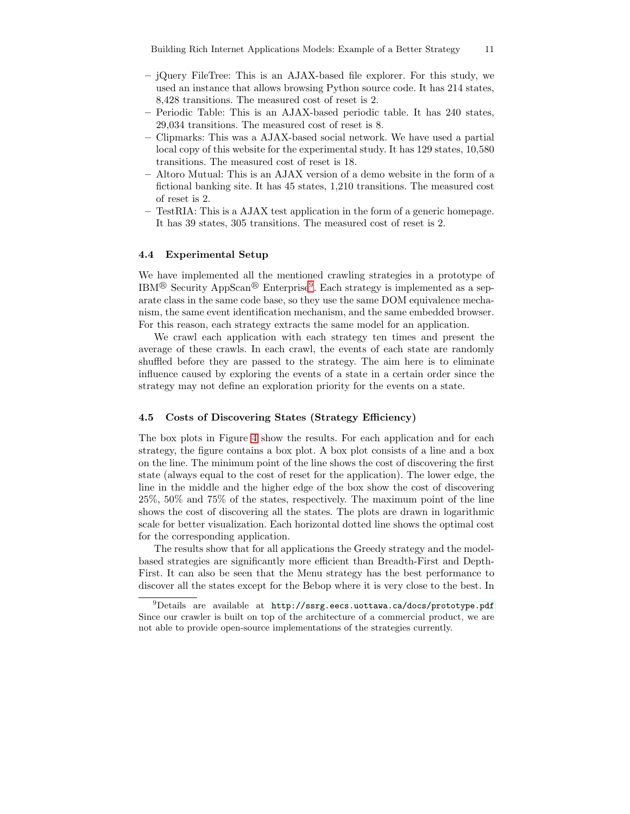- jQuery FileTree: This is an AJAX-based file explorer. For this study, we used an instance that allows browsing Python source code. It has 214 states, 8,428 transitions. The measured cost of reset is 2.
- Periodic Table: This is an AJAX-based periodic table. It has 240 states, 29,034 transitions. The measured cost of reset is 8.
- Clipmarks: This was a AJAX-based social network. We have used a partial local copy of this website for the experimental study. It has 129 states, 10,580 transitions. The measured cost of reset is 18.
- Altoro Mutual: This is an AJAX version of a demo website in the form of a fictional banking site. It has 45 states, 1,210 transitions. The measured cost of reset is 2.
- TestRIA: This is a AJAX test application in the form of a generic homepage. It has 39 states, 305 transitions. The measured cost of reset is 2.

#### 4.4 Experimental Setup

We have implemented all the mentioned crawling strategies in a prototype of IBM <sup>R</sup> Security AppScan <sup>R</sup> Enterprise[9](#page-10-0) . Each strategy is implemented as a separate class in the same code base, so they use the same DOM equivalence mechanism, the same event identification mechanism, and the same embedded browser. For this reason, each strategy extracts the same model for an application.

We crawl each application with each strategy ten times and present the average of these crawls. In each crawl, the events of each state are randomly shuffled before they are passed to the strategy. The aim here is to eliminate influence caused by exploring the events of a state in a certain order since the strategy may not define an exploration priority for the events on a state.

### 4.5 Costs of Discovering States (Strategy Efficiency)

The box plots in Figure [4](#page-11-1) show the results. For each application and for each strategy, the figure contains a box plot. A box plot consists of a line and a box on the line. The minimum point of the line shows the cost of discovering the first state (always equal to the cost of reset for the application). The lower edge, the line in the middle and the higher edge of the box show the cost of discovering 25%, 50% and 75% of the states, respectively. The maximum point of the line shows the cost of discovering all the states. The plots are drawn in logarithmic scale for better visualization. Each horizontal dotted line shows the optimal cost for the corresponding application.

The results show that for all applications the Greedy strategy and the modelbased strategies are significantly more efficient than Breadth-First and Depth-First. It can also be seen that the Menu strategy has the best performance to discover all the states except for the Bebop where it is very close to the best. In

<span id="page-10-0"></span> $^{9}$ Details are available at <http://ssrg.eecs.uottawa.ca/docs/prototype.pdf> Since our crawler is built on top of the architecture of a commercial product, we are not able to provide open-source implementations of the strategies currently.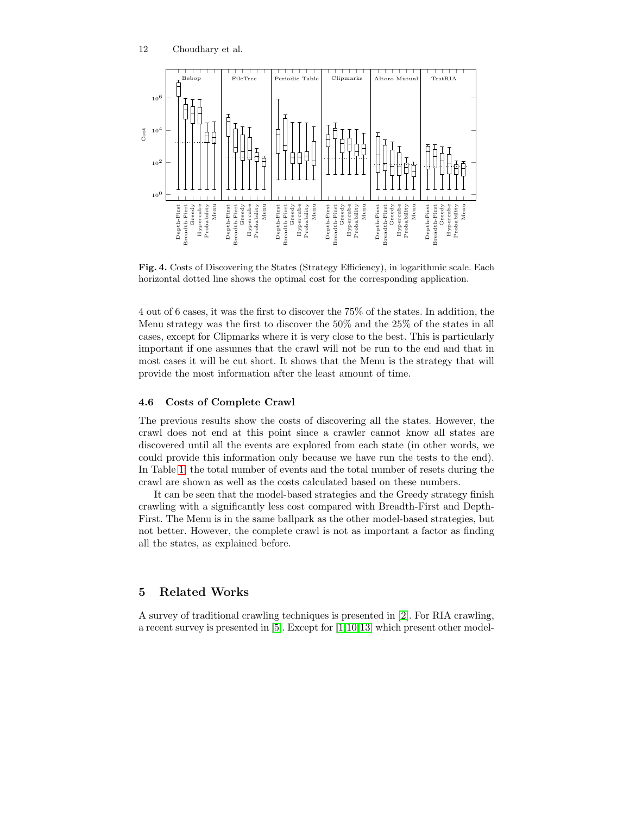

<span id="page-11-1"></span>Fig. 4. Costs of Discovering the States (Strategy Efficiency), in logarithmic scale. Each horizontal dotted line shows the optimal cost for the corresponding application.

4 out of 6 cases, it was the first to discover the 75% of the states. In addition, the Menu strategy was the first to discover the 50% and the 25% of the states in all cases, except for Clipmarks where it is very close to the best. This is particularly important if one assumes that the crawl will not be run to the end and that in most cases it will be cut short. It shows that the Menu is the strategy that will provide the most information after the least amount of time.

## 4.6 Costs of Complete Crawl

The previous results show the costs of discovering all the states. However, the crawl does not end at this point since a crawler cannot know all states are discovered until all the events are explored from each state (in other words, we could provide this information only because we have run the tests to the end). In Table [1,](#page-12-1) the total number of events and the total number of resets during the crawl are shown as well as the costs calculated based on these numbers.

It can be seen that the model-based strategies and the Greedy strategy finish crawling with a significantly less cost compared with Breadth-First and Depth-First. The Menu is in the same ballpark as the other model-based strategies, but not better. However, the complete crawl is not as important a factor as finding all the states, as explained before.

## <span id="page-11-0"></span>5 Related Works

A survey of traditional crawling techniques is presented in [\[2\]](#page-13-1). For RIA crawling, a recent survey is presented in [\[5\]](#page-13-4). Except for [\[1,](#page-13-0)[10,](#page-13-9)[13\]](#page-14-0) which present other model-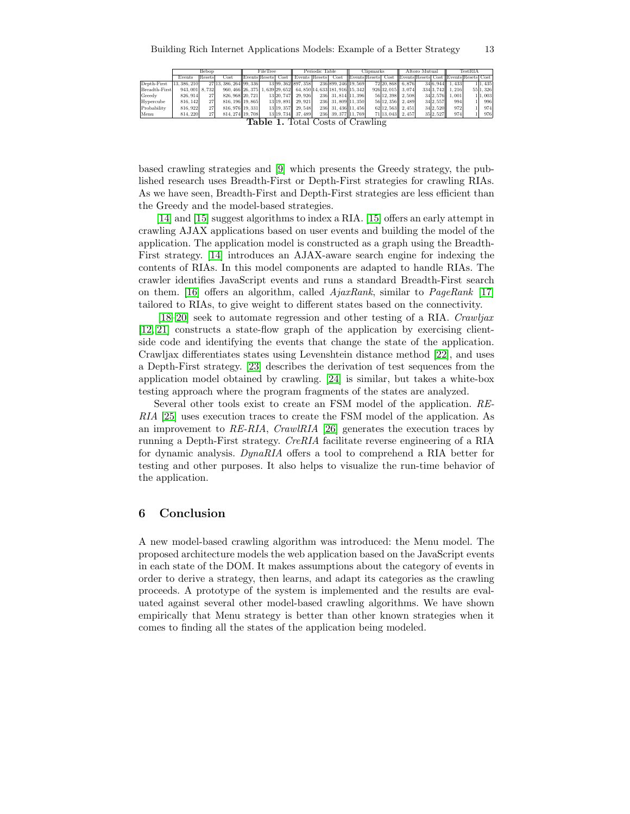|               | Bebop           |        |                                                                  | FileTree |  |  | Periodic Table                   |  |                      | <b>Clipmarks</b> |                                                          |  | Altoro Mutual      |  |           | TestRIA         |  |          |
|---------------|-----------------|--------|------------------------------------------------------------------|----------|--|--|----------------------------------|--|----------------------|------------------|----------------------------------------------------------|--|--------------------|--|-----------|-----------------|--|----------|
|               | Events          | Resets | Cost                                                             |          |  |  | Events Resets Cost Events Resets |  | Cost                 |                  | Events Resets Cost Events Resets Cost Events Resets Cost |  |                    |  |           |                 |  |          |
| Depth-First   | 13, 386, 210    |        | 27 13, 386, 264 99, 336                                          |          |  |  | 13 99. 362 897. 358              |  | 236 899, 246 19, 569 |                  |                                                          |  | 72 20, 868 6.876   |  |           | 34 6.944 1.433  |  | 11.435   |
| Breadth-First | 943, 001 8, 732 |        | 960, 466 26, 375 1, 639 29, 652 64, 850 14, 633 181, 916 15, 342 |          |  |  |                                  |  |                      |                  |                                                          |  | 926 32, 015 3, 074 |  |           | 334 3.742 1.216 |  | 55 1.326 |
| Greedy        | 826, 914        | 27     | 826, 968 20, 721                                                 |          |  |  | 13 20, 747 29, 926               |  | 236 31.814 11.396    |                  |                                                          |  | 56 12, 398 2.508   |  |           | 34 2.576 1.001  |  | 111.003  |
| Hypercube     | 816, 142        | 271    | 816, 196 19, 865                                                 |          |  |  | 13 19, 891 29, 921               |  | 236 31,809 11,350    |                  |                                                          |  | 56 12, 356 2, 489  |  | 34 2.557  | 994             |  | 996      |
| Probability   | 816.922         | 27     | 816.976 19.331                                                   |          |  |  | 13 19, 357 29, 548               |  | 236 31.436 11.456    |                  |                                                          |  | 62 12.563 2.451    |  | 34 2.520  | 972             |  | 974      |
| Menu          | 814.220         | 27     | 814.274 19.708                                                   |          |  |  | 13 19, 734 37, 489               |  | 236 39, 377 11, 769  |                  |                                                          |  | 71 13, 043 2, 457  |  | 35 2, 527 | 974             |  | 976      |

<span id="page-12-1"></span>Table 1. Total Costs of Crawling

based crawling strategies and [\[9\]](#page-13-8) which presents the Greedy strategy, the published research uses Breadth-First or Depth-First strategies for crawling RIAs. As we have seen, Breadth-First and Depth-First strategies are less efficient than the Greedy and the model-based strategies.

[\[14\]](#page-14-1) and [\[15\]](#page-14-2) suggest algorithms to index a RIA. [15] offers an early attempt in crawling AJAX applications based on user events and building the model of the application. The application model is constructed as a graph using the Breadth-First strategy. [\[14\]](#page-14-1) introduces an AJAX-aware search engine for indexing the contents of RIAs. In this model components are adapted to handle RIAs. The crawler identifies JavaScript events and runs a standard Breadth-First search on them. [\[16\]](#page-14-3) offers an algorithm, called  $AjaxRank$ , similar to  $PageRank$  [\[17\]](#page-14-4) tailored to RIAs, to give weight to different states based on the connectivity.

[\[18](#page-14-5)[–20\]](#page-14-6) seek to automate regression and other testing of a RIA. Crawljax [\[12,](#page-13-11) [21\]](#page-14-7) constructs a state-flow graph of the application by exercising clientside code and identifying the events that change the state of the application. Crawljax differentiates states using Levenshtein distance method [\[22\]](#page-14-8), and uses a Depth-First strategy. [\[23\]](#page-14-9) describes the derivation of test sequences from the application model obtained by crawling. [\[24\]](#page-14-10) is similar, but takes a white-box testing approach where the program fragments of the states are analyzed.

Several other tools exist to create an FSM model of the application. RE-RIA [\[25\]](#page-14-11) uses execution traces to create the FSM model of the application. As an improvement to RE-RIA, CrawlRIA [\[26\]](#page-14-12) generates the execution traces by running a Depth-First strategy. CreRIA facilitate reverse engineering of a RIA for dynamic analysis. DynaRIA offers a tool to comprehend a RIA better for testing and other purposes. It also helps to visualize the run-time behavior of the application.

## <span id="page-12-0"></span>6 Conclusion

A new model-based crawling algorithm was introduced: the Menu model. The proposed architecture models the web application based on the JavaScript events in each state of the DOM. It makes assumptions about the category of events in order to derive a strategy, then learns, and adapt its categories as the crawling proceeds. A prototype of the system is implemented and the results are evaluated against several other model-based crawling algorithms. We have shown empirically that Menu strategy is better than other known strategies when it comes to finding all the states of the application being modeled.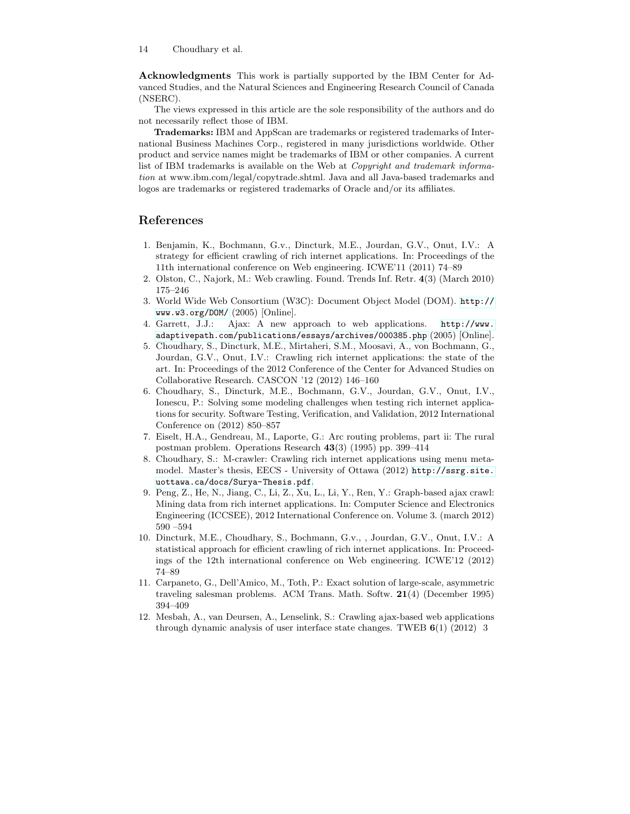Acknowledgments This work is partially supported by the IBM Center for Advanced Studies, and the Natural Sciences and Engineering Research Council of Canada (NSERC).

The views expressed in this article are the sole responsibility of the authors and do not necessarily reflect those of IBM.

Trademarks: IBM and AppScan are trademarks or registered trademarks of International Business Machines Corp., registered in many jurisdictions worldwide. Other product and service names might be trademarks of IBM or other companies. A current list of IBM trademarks is available on the Web at *Copyright and trademark informa*tion at www.ibm.com/legal/copytrade.shtml. Java and all Java-based trademarks and logos are trademarks or registered trademarks of Oracle and/or its affiliates.

## <span id="page-13-0"></span>References

- 1. Benjamin, K., Bochmann, G.v., Dincturk, M.E., Jourdan, G.V., Onut, I.V.: A strategy for efficient crawling of rich internet applications. In: Proceedings of the 11th international conference on Web engineering. ICWE'11 (2011) 74–89
- <span id="page-13-2"></span><span id="page-13-1"></span>2. Olston, C., Najork, M.: Web crawling. Found. Trends Inf. Retr. 4(3) (March 2010) 175–246
- 3. World Wide Web Consortium (W3C): Document Object Model (DOM). [http://](http://www.w3.org/DOM/) [www.w3.org/DOM/](http://www.w3.org/DOM/) (2005) [Online].
- <span id="page-13-3"></span>4. Garrett, J.J.: Ajax: A new approach to web applications. [http://www.](http://www.adaptivepath.com/publications/essays/archives/000385.php) [adaptivepath.com/publications/essays/archives/000385.php](http://www.adaptivepath.com/publications/essays/archives/000385.php) (2005) [Online].
- <span id="page-13-4"></span>5. Choudhary, S., Dincturk, M.E., Mirtaheri, S.M., Moosavi, A., von Bochmann, G., Jourdan, G.V., Onut, I.V.: Crawling rich internet applications: the state of the art. In: Proceedings of the 2012 Conference of the Center for Advanced Studies on Collaborative Research. CASCON '12 (2012) 146–160
- <span id="page-13-5"></span>6. Choudhary, S., Dincturk, M.E., Bochmann, G.V., Jourdan, G.V., Onut, I.V., Ionescu, P.: Solving some modeling challenges when testing rich internet applications for security. Software Testing, Verification, and Validation, 2012 International Conference on (2012) 850–857
- <span id="page-13-6"></span>7. Eiselt, H.A., Gendreau, M., Laporte, G.: Arc routing problems, part ii: The rural postman problem. Operations Research 43(3) (1995) pp. 399–414
- <span id="page-13-7"></span>8. Choudhary, S.: M-crawler: Crawling rich internet applications using menu metamodel. Master's thesis, EECS - University of Ottawa (2012) [http://ssrg.site.](http://ssrg.site.uottawa.ca/docs/Surya-Thesis.pdf) [uottawa.ca/docs/Surya-Thesis.pdf](http://ssrg.site.uottawa.ca/docs/Surya-Thesis.pdf).
- <span id="page-13-8"></span>9. Peng, Z., He, N., Jiang, C., Li, Z., Xu, L., Li, Y., Ren, Y.: Graph-based ajax crawl: Mining data from rich internet applications. In: Computer Science and Electronics Engineering (ICCSEE), 2012 International Conference on. Volume 3. (march 2012) 590 –594
- <span id="page-13-9"></span>10. Dincturk, M.E., Choudhary, S., Bochmann, G.v., , Jourdan, G.V., Onut, I.V.: A statistical approach for efficient crawling of rich internet applications. In: Proceedings of the 12th international conference on Web engineering. ICWE'12 (2012) 74–89
- <span id="page-13-10"></span>11. Carpaneto, G., Dell'Amico, M., Toth, P.: Exact solution of large-scale, asymmetric traveling salesman problems. ACM Trans. Math. Softw. 21(4) (December 1995) 394–409
- <span id="page-13-11"></span>12. Mesbah, A., van Deursen, A., Lenselink, S.: Crawling ajax-based web applications through dynamic analysis of user interface state changes. TWEB  $6(1)$  (2012) 3